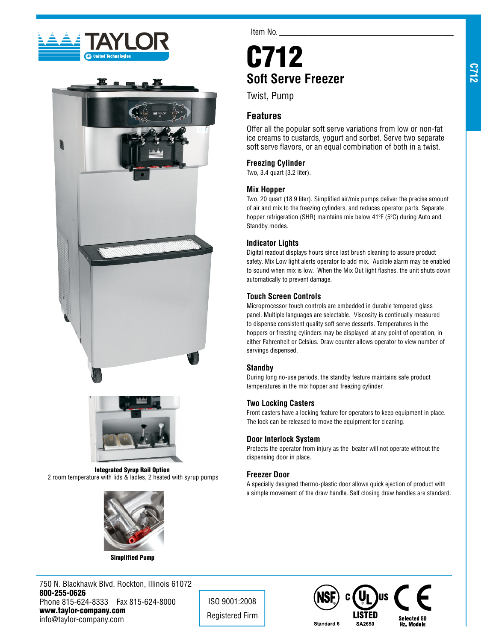





Integrated Syrup Rail Option 2 room temperature with lids & ladles, 2 heated with syrup pumps



Simplified Pump

750 N. Blackhawk Blvd. Rockton, Illinois 61072 800-255-0626 Phone 815-624-8333 Fax 815-624-8000 www.taylor-company.com info@taylor-company.com

Item No.

# C712 **Soft Serve Freezer**

Twist, Pump

# **Features**

Offer all the popular soft serve variations from low or non-fat ice creams to custards, yogurt and sorbet. Serve two separate soft serve flavors, or an equal combination of both in a twist.

## **Freezing Cylinder**

Two, 3.4 quart (3.2 liter).

## **Mix Hopper**

Two, 20 quart (18.9 liter). Simplified air/mix pumps deliver the precise amount of air and mix to the freezing cylinders, and reduces operator parts. Separate hopper refrigeration (SHR) maintains mix below 41ºF (5ºC) during Auto and Standby modes.

## **Indicator Lights**

Digital readout displays hours since last brush cleaning to assure product safety. Mix Low light alerts operator to add mix. Audible alarm may be enabled to sound when mix is low. When the Mix Out light flashes, the unit shuts down automatically to prevent damage.

## **Touch Screen Controls**

Microprocessor touch controls are embedded in durable tempered glass panel. Multiple languages are selectable. Viscosity is continually measured to dispense consistent quality soft serve desserts. Temperatures in the hoppers or freezing cylinders may be displayed at any point of operation, in either Fahrenheit or Celsius. Draw counter allows operator to view number of servings dispensed.

## **Standby**

During long no-use periods, the standby feature maintains safe product temperatures in the mix hopper and freezing cylinder.

## **Two Locking Casters**

Front casters have a locking feature for operators to keep equipment in place. The lock can be released to move the equipment for cleaning.

#### **Door Interlock System**

Protects the operator from injury as the beater will not operate without the dispensing door in place.

## **Freezer Door**

ISO 9001:2008 Registered Firm

A specially designed thermo-plastic door allows quick ejection of product with a simple movement of the draw handle. Self closing draw handles are standard.